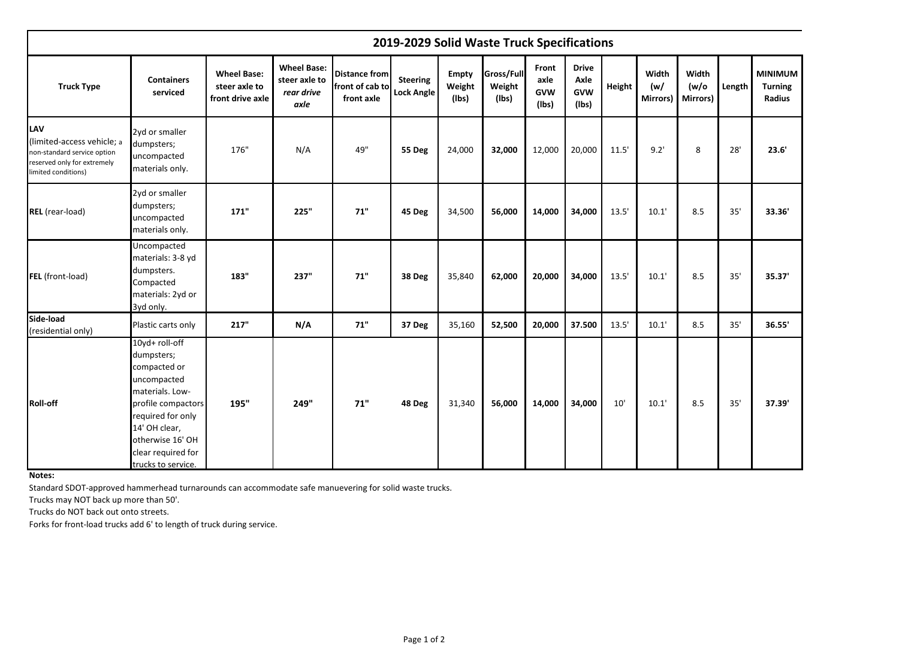|                                                                                                                               | 2019-2029 Solid Waste Truck Specifications                                                                                                                                                                 |                                                         |                                                           |                                                       |                                      |                                 |                                      |                                      |                                             |        |                          |                            |        |                                            |
|-------------------------------------------------------------------------------------------------------------------------------|------------------------------------------------------------------------------------------------------------------------------------------------------------------------------------------------------------|---------------------------------------------------------|-----------------------------------------------------------|-------------------------------------------------------|--------------------------------------|---------------------------------|--------------------------------------|--------------------------------------|---------------------------------------------|--------|--------------------------|----------------------------|--------|--------------------------------------------|
| <b>Truck Type</b>                                                                                                             | <b>Containers</b><br>serviced                                                                                                                                                                              | <b>Wheel Base:</b><br>steer axle to<br>front drive axle | <b>Wheel Base:</b><br>steer axle to<br>rear drive<br>axle | <b>Distance from</b><br>front of cab to<br>front axle | <b>Steering</b><br><b>Lock Angle</b> | <b>Empty</b><br>Weight<br>(lbs) | <b>Gross/Full</b><br>Weight<br>(lbs) | Front<br>axle<br><b>GVW</b><br>(Ibs) | <b>Drive</b><br>Axle<br><b>GVW</b><br>(lbs) | Height | Width<br>(w/<br>Mirrors) | Width<br>(w/o)<br>Mirrors) | Length | <b>MINIMUM</b><br><b>Turning</b><br>Radius |
| <b>LAV</b><br>(limited-access vehicle; a<br>non-standard service option<br>reserved only for extremely<br>limited conditions) | 2yd or smaller<br>dumpsters;<br>uncompacted<br>materials only.                                                                                                                                             | 176"                                                    | N/A                                                       | 49"                                                   | <b>55 Deg</b>                        | 24,000                          | 32,000                               | 12,000                               | 20,000                                      | 11.5'  | 9.2'                     | 8                          | 28'    | 23.6'                                      |
| REL (rear-load)                                                                                                               | 2yd or smaller<br>dumpsters;<br>uncompacted<br>materials only.                                                                                                                                             | 171"                                                    | 225"                                                      | 71"                                                   | 45 Deg                               | 34,500                          | 56,000                               | 14,000                               | 34,000                                      | 13.5'  | 10.1'                    | 8.5                        | 35'    | 33.36'                                     |
| FEL (front-load)                                                                                                              | Uncompacted<br>materials: 3-8 yd<br>dumpsters.<br>Compacted<br>materials: 2yd or<br>3yd only.                                                                                                              | 183"                                                    | 237"                                                      | 71"                                                   | 38 Deg                               | 35,840                          | 62,000                               | 20,000                               | 34,000                                      | 13.5'  | 10.1'                    | 8.5                        | 35'    | 35.37'                                     |
| Side-load<br>(residential only)                                                                                               | Plastic carts only                                                                                                                                                                                         | 217"                                                    | N/A                                                       | 71"                                                   | 37 Deg                               | 35,160                          | 52,500                               | 20,000                               | 37.500                                      | 13.5'  | 10.1'                    | 8.5                        | 35'    | 36.55'                                     |
| <b>Roll-off</b>                                                                                                               | 10yd+ roll-off<br>dumpsters;<br>compacted or<br>uncompacted<br>materials. Low-<br>profile compactors<br>required for only<br>14' OH clear,<br>otherwise 16' OH<br>clear required for<br>trucks to service. | 195"                                                    | 249"                                                      | 71"                                                   | 48 Deg                               | 31,340                          | 56,000                               | 14,000                               | 34,000                                      | 10'    | 10.1'                    | 8.5                        | 35'    | 37.39'                                     |

**Notes:** 

Standard SDOT-approved hammerhead turnarounds can accommodate safe manuevering for solid waste trucks.

Trucks may NOT back up more than 50'.

Trucks do NOT back out onto streets.

Forks for front-load trucks add 6' to length of truck during service.